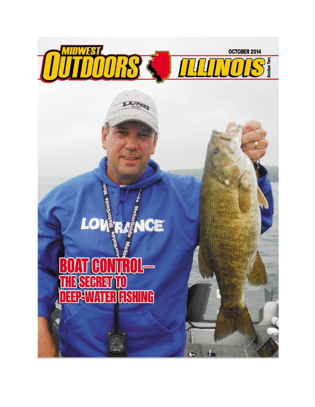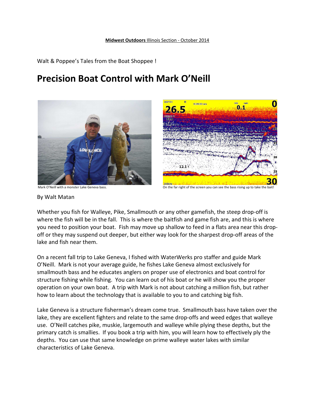Walt & Poppee's Tales from the Boat Shoppee !

## **Precision Boat Control with Mark O'Neill**



8:28:33 am O  $0.1$ 26.5 200kH

Mark O'Neill with a monster Lake Geneva bass.  $\blacksquare$  On the far right of the screen you can see the bass rising up to take the bait!

By Walt Matan

Whether you fish for Walleye, Pike, Smallmouth or any other gamefish, the steep drop-off is where the fish will be in the fall. This is where the baitfish and game fish are, and this is where you need to position your boat. Fish may move up shallow to feed in a flats area near this dropoff or they may suspend out deeper, but either way look for the sharpest drop-off areas of the lake and fish near them.

On a recent fall trip to Lake Geneva, I fished with WaterWerks pro staffer and guide Mark O'Neill. Mark is not your average guide, he fishes Lake Geneva almost exclusively for smallmouth bass and he educates anglers on proper use of electronics and boat control for structure fishing while fishing. You can learn out of his boat or he will show you the proper operation on your own boat. A trip with Mark is not about catching a million fish, but rather how to learn about the technology that is available to you to and catching big fish.

Lake Geneva is a structure fisherman's dream come true. Smallmouth bass have taken over the lake, they are excellent fighters and relate to the same drop-offs and weed edges that walleye use. O'Neill catches pike, muskie, largemouth and walleye while plying these depths, but the primary catch is smallies. If you book a trip with him, you will learn how to effectively ply the depths. You can use that same knowledge on prime walleye water lakes with similar characteristics of Lake Geneva.